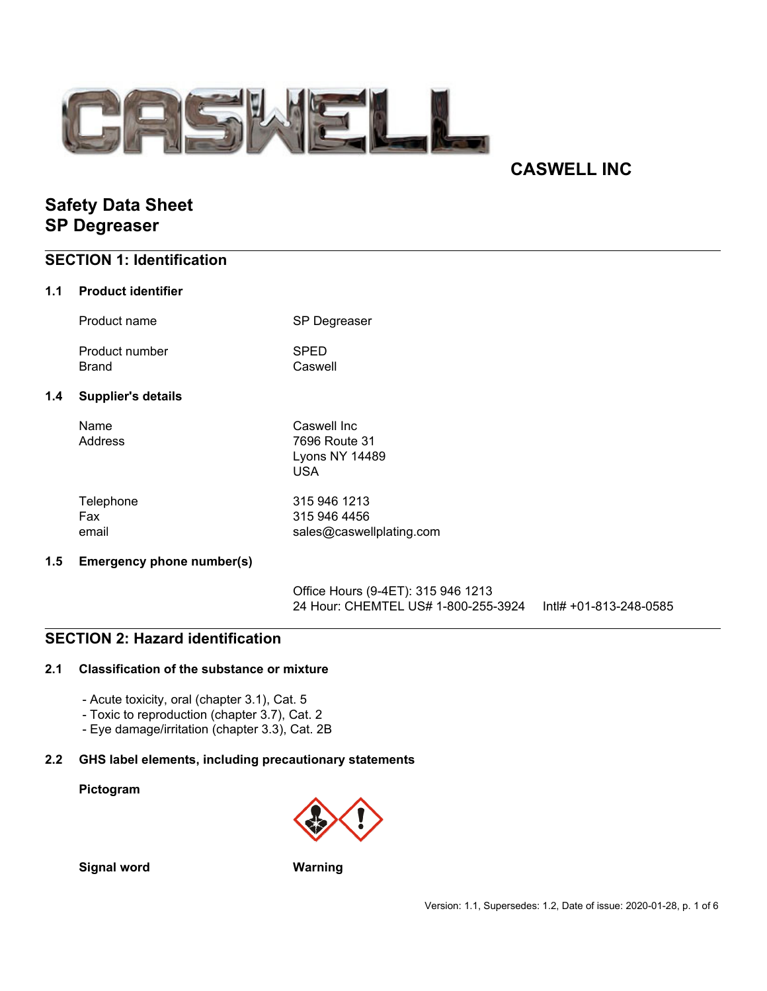

# **CASWELL INC**

# **Safety Data Sheet SP Degreaser**

## **SECTION 1: Identification**

### **1.1 Product identifier**

 $1.4$ 

| Product name                   | <b>SP Degreaser</b>                                          |
|--------------------------------|--------------------------------------------------------------|
| Product number<br><b>Brand</b> | <b>SPED</b><br>Caswell                                       |
| <b>Supplier's details</b>      |                                                              |
| Name<br>Address                | Caswell Inc<br>7696 Route 31<br><b>Lyons NY 14489</b><br>USA |
| Telephone                      | 315 946 1213                                                 |

| Telephone | 315 946 1213             |
|-----------|--------------------------|
| Fax       | 315 946 4456             |
| email     | sales@caswellplating.com |

### **1.5 Emergency phone number(s)**

Office Hours (9-4ET): 315 946 1213 24 Hour: CHEMTEL US# 1-800-255-3924 Intl# +01-813-248-0585

## **SECTION 2: Hazard identification**

### **2.1 Classification of the substance or mixture**

- Acute toxicity, oral (chapter 3.1), Cat. 5
- Toxic to reproduction (chapter 3.7), Cat. 2
- Eye damage/irritation (chapter 3.3), Cat. 2B

### **2.2 GHS label elements, including precautionary statements**

#### **Pictogram**



**Signal word Warning**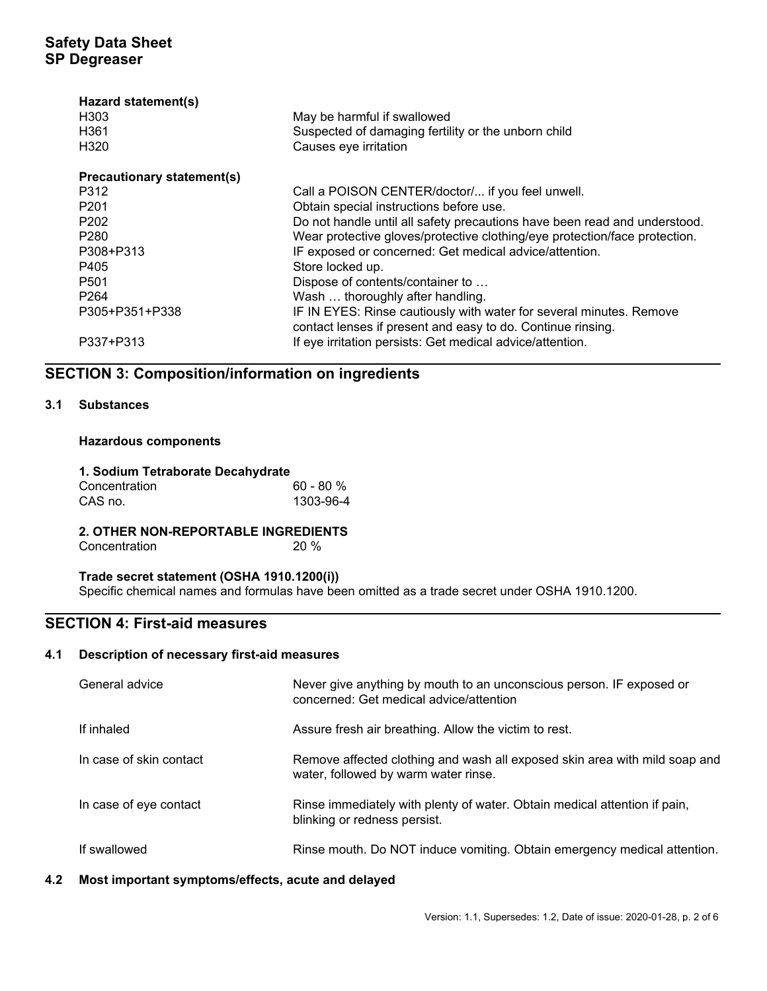| Hazard statement(s)<br>H <sub>303</sub><br>H361<br>H <sub>320</sub> | May be harmful if swallowed<br>Suspected of damaging fertility or the unborn child<br>Causes eye irritation                        |
|---------------------------------------------------------------------|------------------------------------------------------------------------------------------------------------------------------------|
| <b>Precautionary statement(s)</b>                                   |                                                                                                                                    |
| P312                                                                | Call a POISON CENTER/doctor/ if you feel unwell.                                                                                   |
| P <sub>201</sub>                                                    | Obtain special instructions before use.                                                                                            |
| P <sub>202</sub>                                                    | Do not handle until all safety precautions have been read and understood.                                                          |
| P <sub>280</sub>                                                    | Wear protective gloves/protective clothing/eye protection/face protection.                                                         |
| P308+P313                                                           | IF exposed or concerned: Get medical advice/attention.                                                                             |
| P405                                                                | Store locked up.                                                                                                                   |
| P <sub>501</sub>                                                    | Dispose of contents/container to                                                                                                   |
| P <sub>264</sub>                                                    | Wash  thoroughly after handling.                                                                                                   |
| P305+P351+P338                                                      | IF IN EYES: Rinse cautiously with water for several minutes. Remove<br>contact lenses if present and easy to do. Continue rinsing. |
| P337+P313                                                           | If eye irritation persists: Get medical advice/attention.                                                                          |

## **SECTION 3: Composition/information on ingredients**

### **3.1 Substances**

### **Hazardous components**

#### **1. Sodium Tetraborate Decahydrate**

| Concentration | $60 - 80 %$ |
|---------------|-------------|
| CAS no.       | 1303-96-4   |

## **2. OTHER NON-REPORTABLE INGREDIENTS**

Concentration 20 %

## **Trade secret statement (OSHA 1910.1200(i))**

Specific chemical names and formulas have been omitted as a trade secret under OSHA 1910.1200.

## **SECTION 4: First-aid measures**

### **4.1 Description of necessary first-aid measures**

| General advice          | Never give anything by mouth to an unconscious person. IF exposed or<br>concerned: Get medical advice/attention    |
|-------------------------|--------------------------------------------------------------------------------------------------------------------|
| If inhaled              | Assure fresh air breathing. Allow the victim to rest.                                                              |
| In case of skin contact | Remove affected clothing and wash all exposed skin area with mild soap and<br>water, followed by warm water rinse. |
| In case of eye contact  | Rinse immediately with plenty of water. Obtain medical attention if pain,<br>blinking or redness persist.          |
| If swallowed            | Rinse mouth. Do NOT induce vomiting. Obtain emergency medical attention.                                           |

### **4.2 Most important symptoms/effects, acute and delayed**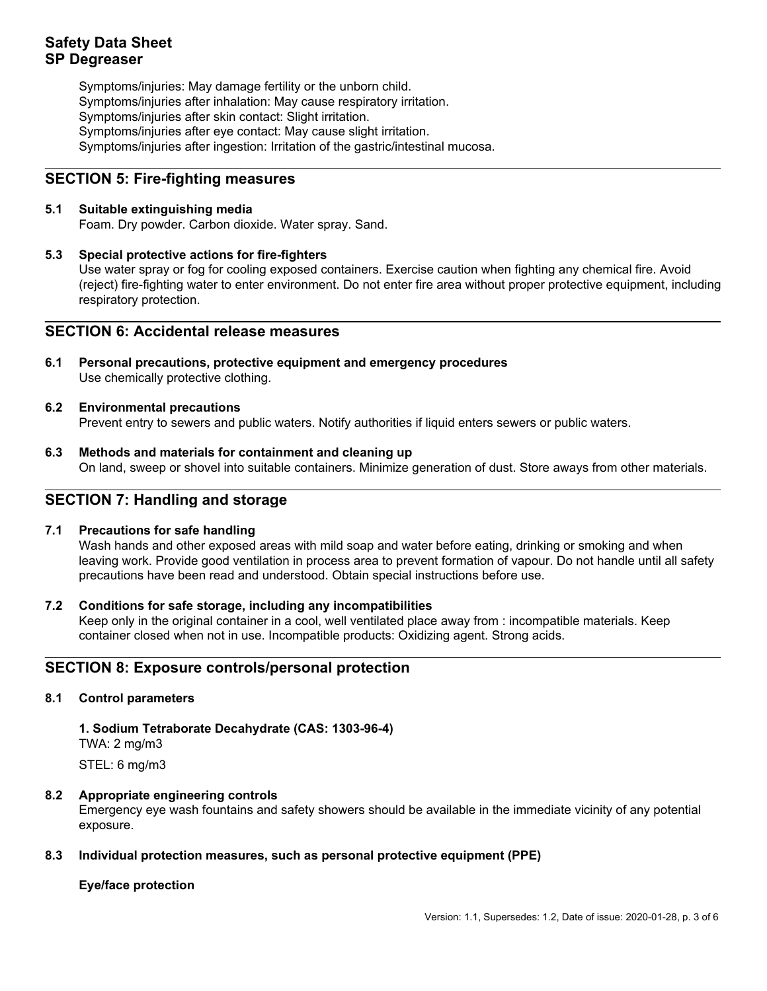## **Safety Data Sheet SP Degreaser**

Symptoms/injuries: May damage fertility or the unborn child. Symptoms/injuries after inhalation: May cause respiratory irritation. Symptoms/injuries after skin contact: Slight irritation. Symptoms/injuries after eye contact: May cause slight irritation. Symptoms/injuries after ingestion: Irritation of the gastric/intestinal mucosa.

## **SECTION 5: Fire-fighting measures**

### **5.1 Suitable extinguishing media**

Foam. Dry powder. Carbon dioxide. Water spray. Sand.

### **5.3 Special protective actions for fire-fighters**

Use water spray or fog for cooling exposed containers. Exercise caution when fighting any chemical fire. Avoid (reject) fire-fighting water to enter environment. Do not enter fire area without proper protective equipment, including respiratory protection.

## **SECTION 6: Accidental release measures**

**6.1 Personal precautions, protective equipment and emergency procedures** Use chemically protective clothing.

#### **6.2 Environmental precautions**

Prevent entry to sewers and public waters. Notify authorities if liquid enters sewers or public waters.

**6.3 Methods and materials for containment and cleaning up** On land, sweep or shovel into suitable containers. Minimize generation of dust. Store aways from other materials.

### **SECTION 7: Handling and storage**

#### **7.1 Precautions for safe handling**

Wash hands and other exposed areas with mild soap and water before eating, drinking or smoking and when leaving work. Provide good ventilation in process area to prevent formation of vapour. Do not handle until all safety precautions have been read and understood. Obtain special instructions before use.

#### **7.2 Conditions for safe storage, including any incompatibilities**

Keep only in the original container in a cool, well ventilated place away from : incompatible materials. Keep container closed when not in use. Incompatible products: Oxidizing agent. Strong acids.

## **SECTION 8: Exposure controls/personal protection**

#### **8.1 Control parameters**

## **1. Sodium Tetraborate Decahydrate (CAS: 1303-96-4)**

TWA: 2 mg/m3

STEL: 6 mg/m3

#### **8.2 Appropriate engineering controls**

Emergency eye wash fountains and safety showers should be available in the immediate vicinity of any potential exposure.

#### **8.3 Individual protection measures, such as personal protective equipment (PPE)**

#### **Eye/face protection**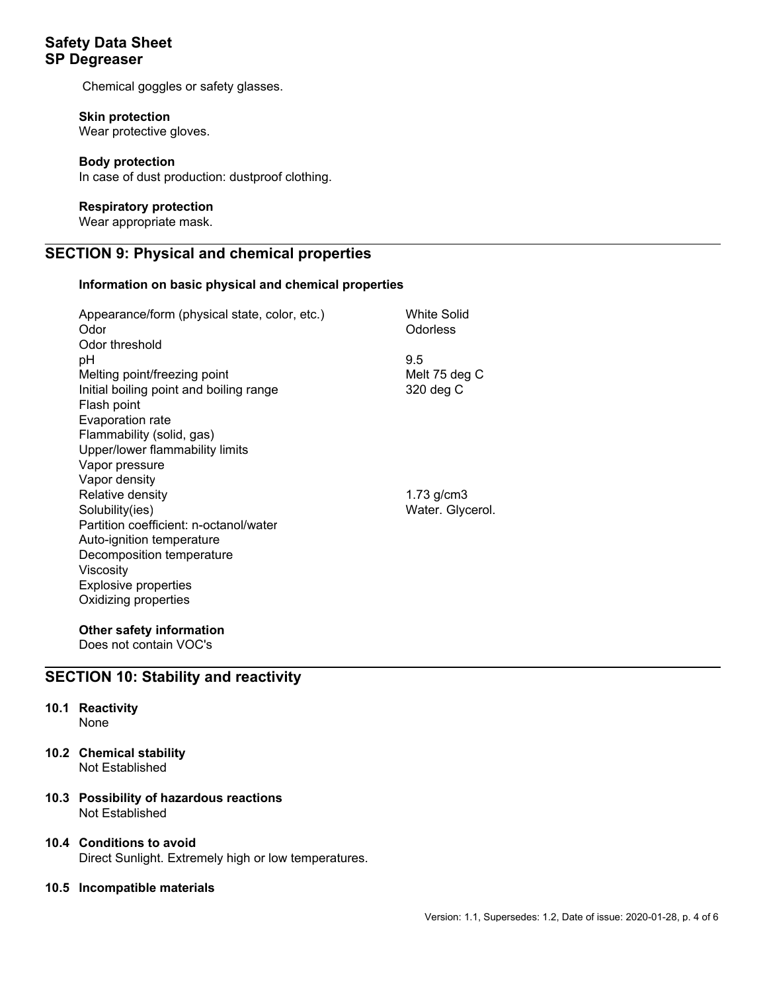## **Safety Data Sheet SP Degreaser**

Chemical goggles or safety glasses.

### **Skin protection**

Wear protective gloves.

### **Body protection**

In case of dust production: dustproof clothing.

### **Respiratory protection**

Wear appropriate mask.

## **SECTION 9: Physical and chemical properties**

### **Information on basic physical and chemical properties**

| Appearance/form (physical state, color, etc.)<br>Odor<br>Odor threshold | <b>White Solid</b><br>Odorless |
|-------------------------------------------------------------------------|--------------------------------|
| рH                                                                      | 9.5                            |
| Melting point/freezing point                                            | Melt 75 deg C                  |
| Initial boiling point and boiling range                                 | 320 deg C                      |
| Flash point                                                             |                                |
| Evaporation rate                                                        |                                |
| Flammability (solid, gas)                                               |                                |
| Upper/lower flammability limits                                         |                                |
| Vapor pressure                                                          |                                |
| Vapor density                                                           |                                |
| Relative density                                                        | 1.73 g/cm3                     |
| Solubility(ies)                                                         | Water. Glycerol.               |
| Partition coefficient: n-octanol/water                                  |                                |
| Auto-ignition temperature                                               |                                |
| Decomposition temperature                                               |                                |
| Viscosity                                                               |                                |
| Explosive properties                                                    |                                |
| Oxidizing properties                                                    |                                |
|                                                                         |                                |

## **Other safety information**

Does not contain VOC's

## **SECTION 10: Stability and reactivity**

## **10.1 Reactivity**

None

**10.2 Chemical stability** Not Established

### **10.3 Possibility of hazardous reactions** Not Established

### **10.4 Conditions to avoid**

Direct Sunlight. Extremely high or low temperatures.

#### **10.5 Incompatible materials**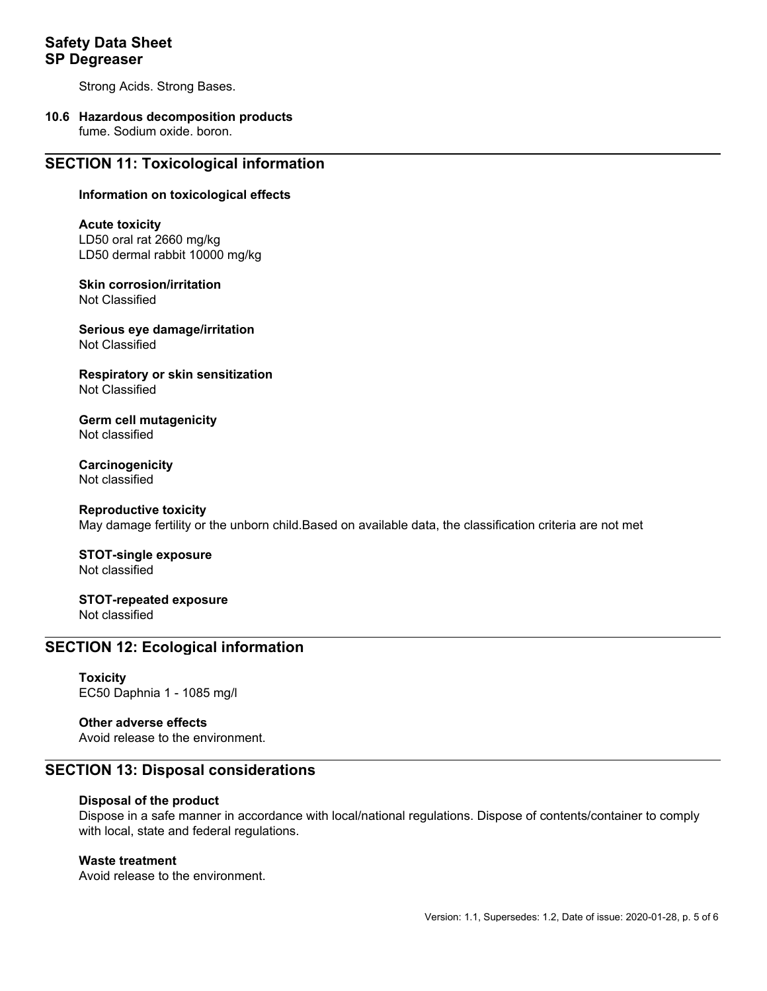## **Safety Data Sheet SP Degreaser**

Strong Acids. Strong Bases.

## **10.6 Hazardous decomposition products**

fume. Sodium oxide. boron.

## **SECTION 11: Toxicological information**

#### **Information on toxicological effects**

#### **Acute toxicity**

LD50 oral rat 2660 mg/kg LD50 dermal rabbit 10000 mg/kg

**Skin corrosion/irritation** Not Classified

**Serious eye damage/irritation** Not Classified

**Respiratory or skin sensitization** Not Classified

**Germ cell mutagenicity** Not classified

**Carcinogenicity** Not classified

#### **Reproductive toxicity**

May damage fertility or the unborn child.Based on available data, the classification criteria are not met

**STOT-single exposure** Not classified

**STOT-repeated exposure** Not classified

## **SECTION 12: Ecological information**

**Toxicity** EC50 Daphnia 1 - 1085 mg/l

### **Other adverse effects**

Avoid release to the environment.

### **SECTION 13: Disposal considerations**

#### **Disposal of the product**

Dispose in a safe manner in accordance with local/national regulations. Dispose of contents/container to comply with local, state and federal regulations.

#### **Waste treatment**

Avoid release to the environment.